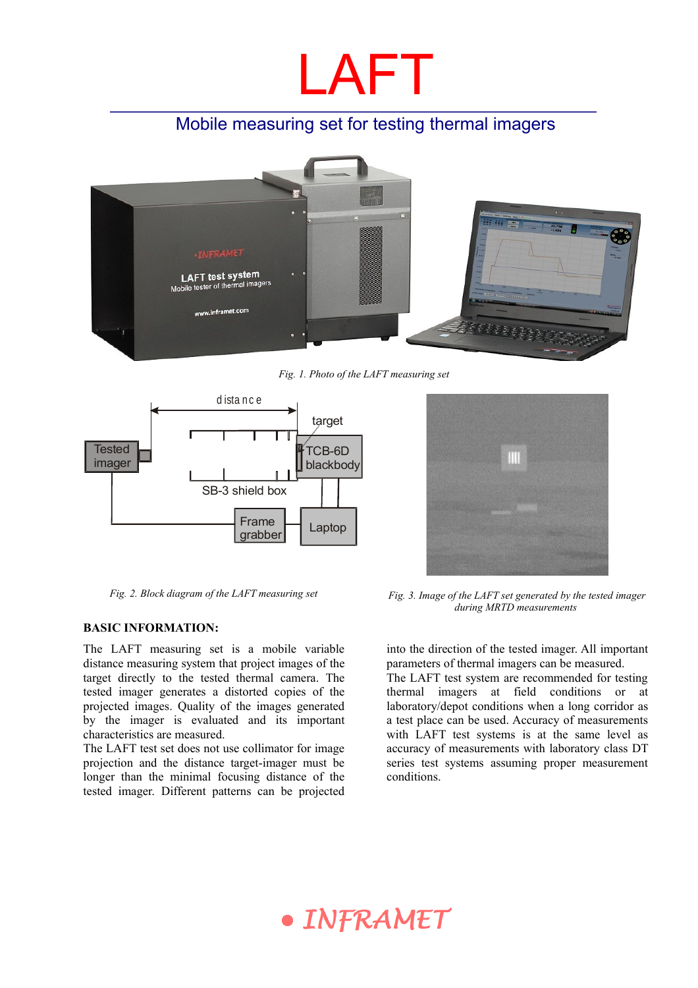

## Mobile measuring set for testing thermal imagers



*Fig. 1. Photo of the LAFT measuring set* 



#### **BASIC INFORMATION:**

The LAFT measuring set is a mobile variable distance measuring system that project images of the target directly to the tested thermal camera. The tested imager generates a distorted copies of the projected images. Quality of the images generated by the imager is evaluated and its important characteristics are measured.

The LAFT test set does not use collimator for image projection and the distance target-imager must be longer than the minimal focusing distance of the tested imager. Different patterns can be projected



*Fig. 2. Block diagram of the LAFT measuring set Fig. 3. Image of the LAFT set generated by the tested imager during MRTD measurements* 

into the direction of the tested imager. All important parameters of thermal imagers can be measured.

The LAFT test system are recommended for testing thermal imagers at field conditions or at laboratory/depot conditions when a long corridor as a test place can be used. Accuracy of measurements with LAFT test systems is at the same level as accuracy of measurements with laboratory class DT series test systems assuming proper measurement conditions.